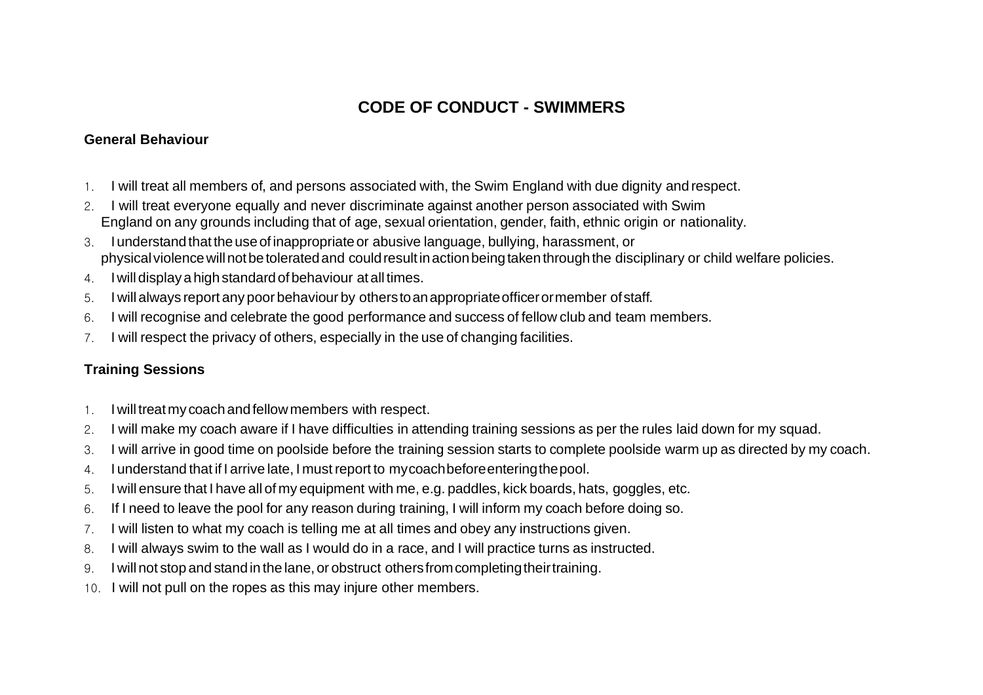## **CODE OF CONDUCT - SWIMMERS**

## **General Behaviour**

- 1. I will treat all members of, and persons associated with, the Swim England with due dignity and respect.
- 2. I will treat everyone equally and never discriminate against another person associated with Swim England on any grounds including that of age, sexual orientation, gender, faith, ethnic origin or nationality.
- 3. Iunderstandthat theuseofinappropriateor abusive language, bullying, harassment, or physical violence will not be tolerated and could result in action being taken through the disciplinary or child welfare policies.
- 4. Iwilldisplaya highstandardofbehaviour at all times.
- 5. I will always report any poor behaviour by otherstoanappropriateofficerormember ofstaff.
- 6. I will recognise and celebrate the good performance and success of fellow club and team members.
- 7. I will respect the privacy of others, especially in the use of changing facilities.

## **Training Sessions**

- 1. Iwilltreatmy coachandfellowmembers with respect.
- 2. I will make my coach aware if I have difficulties in attending training sessions as per the rules laid down for my squad.
- 3. I will arrive in good time on poolside before the training session starts to complete poolside warm up as directed by my coach.
- 4. I understand that if I arrive late, I mustreport to mycoachbeforeenteringthepool.
- 5. I will ensure that I have all of my equipment with me, e.g. paddles, kick boards, hats, goggles, etc.
- 6. If I need to leave the pool for any reason during training, I will inform my coach before doing so.
- 7. I will listen to what my coach is telling me at all times and obey any instructions given.
- 8. I will always swim to the wall as I would do in a race, and I will practice turns as instructed.
- 9. I will not stop and stand in the lane, or obstruct othersfromcompletingtheirtraining.
- 10. I will not pull on the ropes as this may injure other members.